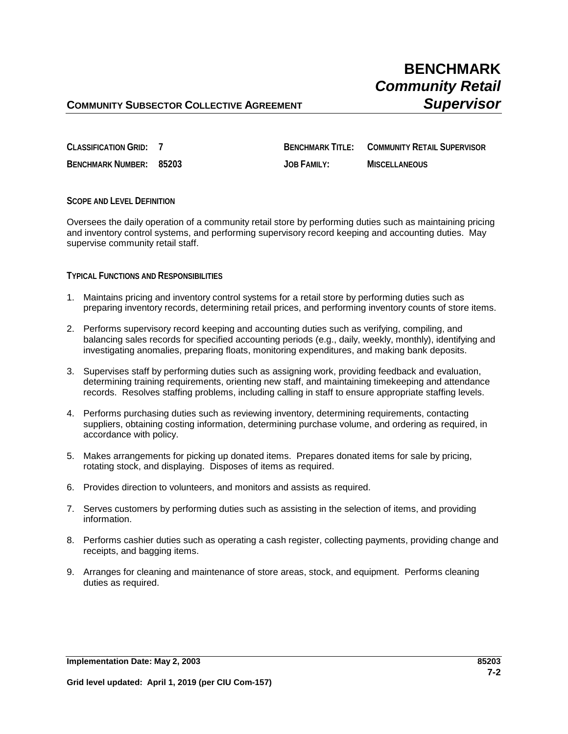# **COMMUNITY SUBSECTOR COLLECTIVE AGREEMENT <b>SUPERVISOR**

**CLASSIFICATION GRID: 7 BENCHMARK TITLE: COMMUNITY RETAIL SUPERVISOR BENCHMARK NUMBER: 85203 JOB FAMILY: MISCELLANEOUS**

### **SCOPE AND LEVEL DEFINITION**

Oversees the daily operation of a community retail store by performing duties such as maintaining pricing and inventory control systems, and performing supervisory record keeping and accounting duties. May supervise community retail staff.

### **TYPICAL FUNCTIONS AND RESPONSIBILITIES**

- 1. Maintains pricing and inventory control systems for a retail store by performing duties such as preparing inventory records, determining retail prices, and performing inventory counts of store items.
- 2. Performs supervisory record keeping and accounting duties such as verifying, compiling, and balancing sales records for specified accounting periods (e.g., daily, weekly, monthly), identifying and investigating anomalies, preparing floats, monitoring expenditures, and making bank deposits.
- 3. Supervises staff by performing duties such as assigning work, providing feedback and evaluation, determining training requirements, orienting new staff, and maintaining timekeeping and attendance records. Resolves staffing problems, including calling in staff to ensure appropriate staffing levels.
- 4. Performs purchasing duties such as reviewing inventory, determining requirements, contacting suppliers, obtaining costing information, determining purchase volume, and ordering as required, in accordance with policy.
- 5. Makes arrangements for picking up donated items. Prepares donated items for sale by pricing, rotating stock, and displaying. Disposes of items as required.
- 6. Provides direction to volunteers, and monitors and assists as required.
- 7. Serves customers by performing duties such as assisting in the selection of items, and providing information.
- 8. Performs cashier duties such as operating a cash register, collecting payments, providing change and receipts, and bagging items.
- 9. Arranges for cleaning and maintenance of store areas, stock, and equipment. Performs cleaning duties as required.